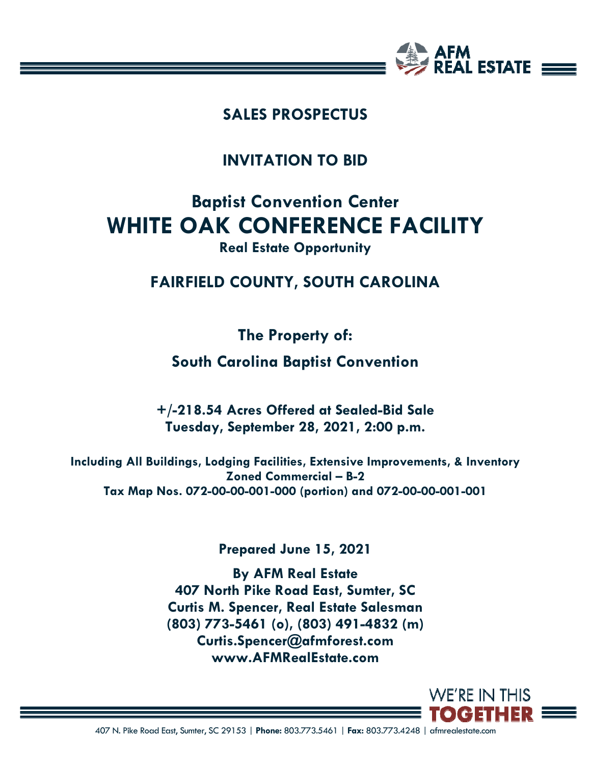

## **SALES PROSPECTUS**

**INVITATION TO BID** 

# **Baptist Convention Center WHITE OAK CONFERENCE FACILITY**

### **Real Estate Opportunity**

## **FAIRFIELD COUNTY, SOUTH CAROLINA**

**The Property of:** 

**South Carolina Baptist Convention** 

**+/-218.54 Acres Offered at Sealed-Bid Sale Tuesday, September 28, 2021, 2:00 p.m.** 

**Including All Buildings, Lodging Facilities, Extensive Improvements, & Inventory Zoned Commercial – B-2 Tax Map Nos. 072-00-00-001-000 (portion) and 072-00-00-001-001** 

**Prepared June 15, 2021** 

**By AFM Real Estate 407 North Pike Road East, Sumter, SC Curtis M. Spencer, Real Estate Salesman (803) 773-5461 (o), (803) 491-4832 (m) Curtis.Spencer@afmforest.com www.AFMRealEstate.com** 

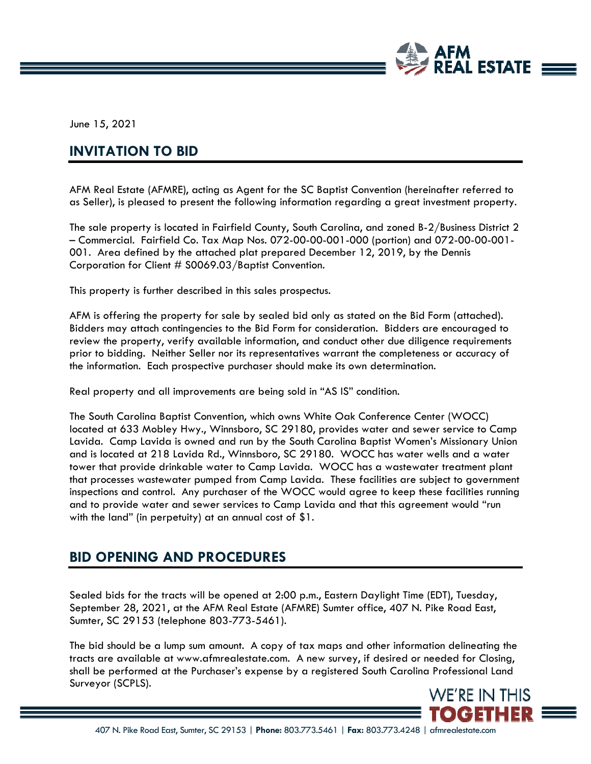

June 15, 2021

#### **INVITATION TO BID**

AFM Real Estate (AFMRE), acting as Agent for the SC Baptist Convention (hereinafter referred to as Seller), is pleased to present the following information regarding a great investment property.

The sale property is located in Fairfield County, South Carolina, and zoned B-2/Business District 2 – Commercial. Fairfield Co. Tax Map Nos. 072-00-00-001-000 (portion) and 072-00-00-001- 001. Area defined by the attached plat prepared December 12, 2019, by the Dennis Corporation for Client # S0069.03/Baptist Convention.

This property is further described in this sales prospectus.

AFM is offering the property for sale by sealed bid only as stated on the Bid Form (attached). Bidders may attach contingencies to the Bid Form for consideration. Bidders are encouraged to review the property, verify available information, and conduct other due diligence requirements prior to bidding. Neither Seller nor its representatives warrant the completeness or accuracy of the information. Each prospective purchaser should make its own determination.

Real property and all improvements are being sold in "AS IS" condition.

The South Carolina Baptist Convention, which owns White Oak Conference Center (WOCC) located at 633 Mobley Hwy., Winnsboro, SC 29180, provides water and sewer service to Camp Lavida. Camp Lavida is owned and run by the South Carolina Baptist Women's Missionary Union and is located at 218 Lavida Rd., Winnsboro, SC 29180. WOCC has water wells and a water tower that provide drinkable water to Camp Lavida. WOCC has a wastewater treatment plant that processes wastewater pumped from Camp Lavida. These facilities are subject to government inspections and control. Any purchaser of the WOCC would agree to keep these facilities running and to provide water and sewer services to Camp Lavida and that this agreement would "run with the land" (in perpetuity) at an annual cost of \$1.

#### **BID OPENING AND PROCEDURES**

Sealed bids for the tracts will be opened at 2:00 p.m., Eastern Daylight Time (EDT), Tuesday, September 28, 2021, at the AFM Real Estate (AFMRE) Sumter office, 407 N. Pike Road East, Sumter, SC 29153 (telephone 803-773-5461).

The bid should be a lump sum amount. A copy of tax maps and other information delineating the tracts are available at www.afmrealestate.com. A new survey, if desired or needed for Closing, shall be performed at the Purchaser's expense by a registered South Carolina Professional Land Surveyor (SCPLS).

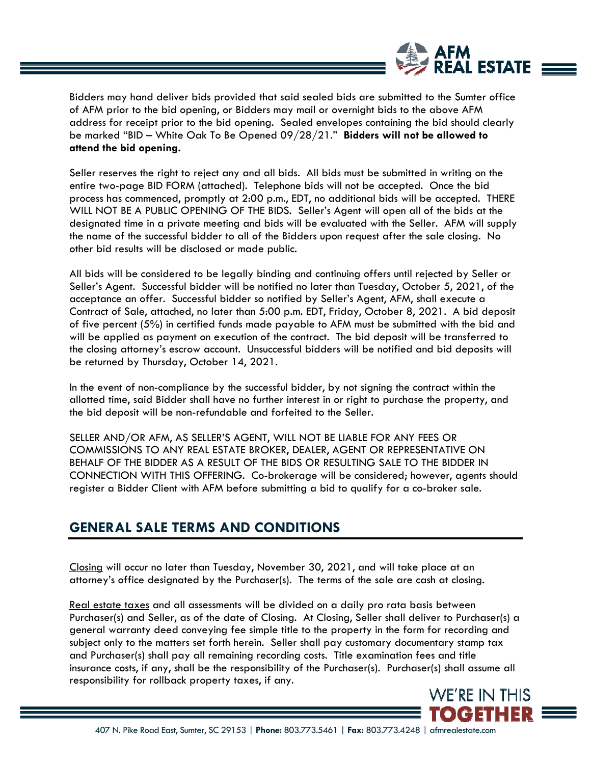

Bidders may hand deliver bids provided that said sealed bids are submitted to the Sumter office of AFM prior to the bid opening, or Bidders may mail or overnight bids to the above AFM address for receipt prior to the bid opening. Sealed envelopes containing the bid should clearly be marked "BID – White Oak To Be Opened 09/28/21." **Bidders will not be allowed to attend the bid opening.**

Seller reserves the right to reject any and all bids. All bids must be submitted in writing on the entire two-page BID FORM (attached). Telephone bids will not be accepted. Once the bid process has commenced, promptly at 2:00 p.m., EDT, no additional bids will be accepted. THERE WILL NOT BE A PUBLIC OPENING OF THE BIDS. Seller's Agent will open all of the bids at the designated time in a private meeting and bids will be evaluated with the Seller. AFM will supply the name of the successful bidder to all of the Bidders upon request after the sale closing. No other bid results will be disclosed or made public.

All bids will be considered to be legally binding and continuing offers until rejected by Seller or Seller's Agent. Successful bidder will be notified no later than Tuesday, October 5, 2021, of the acceptance an offer. Successful bidder so notified by Seller's Agent, AFM, shall execute a Contract of Sale, attached, no later than 5:00 p.m. EDT, Friday, October 8, 2021. A bid deposit of five percent (5%) in certified funds made payable to AFM must be submitted with the bid and will be applied as payment on execution of the contract. The bid deposit will be transferred to the closing attorney's escrow account. Unsuccessful bidders will be notified and bid deposits will be returned by Thursday, October 14, 2021.

In the event of non-compliance by the successful bidder, by not signing the contract within the allotted time, said Bidder shall have no further interest in or right to purchase the property, and the bid deposit will be non-refundable and forfeited to the Seller.

SELLER AND/OR AFM, AS SELLER'S AGENT, WILL NOT BE LIABLE FOR ANY FEES OR COMMISSIONS TO ANY REAL ESTATE BROKER, DEALER, AGENT OR REPRESENTATIVE ON BEHALF OF THE BIDDER AS A RESULT OF THE BIDS OR RESULTING SALE TO THE BIDDER IN CONNECTION WITH THIS OFFERING. Co-brokerage will be considered; however, agents should register a Bidder Client with AFM before submitting a bid to qualify for a co-broker sale.

#### **GENERAL SALE TERMS AND CONDITIONS**

Closing will occur no later than Tuesday, November 30, 2021, and will take place at an attorney's office designated by the Purchaser(s). The terms of the sale are cash at closing.

Real estate taxes and all assessments will be divided on a daily pro rata basis between Purchaser(s) and Seller, as of the date of Closing. At Closing, Seller shall deliver to Purchaser(s) a general warranty deed conveying fee simple title to the property in the form for recording and subject only to the matters set forth herein. Seller shall pay customary documentary stamp tax and Purchaser(s) shall pay all remaining recording costs. Title examination fees and title insurance costs, if any, shall be the responsibility of the Purchaser(s). Purchaser(s) shall assume all responsibility for rollback property taxes, if any.

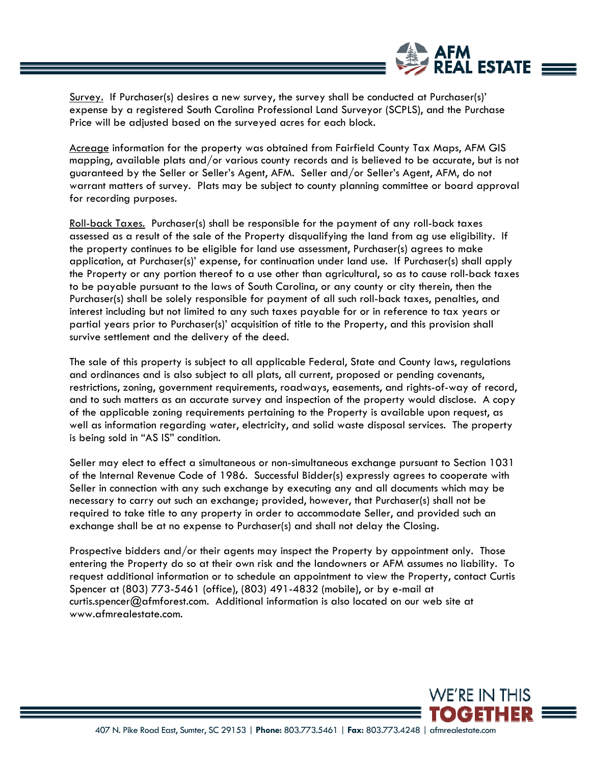

Survey. If Purchaser(s) desires a new survey, the survey shall be conducted at Purchaser(s)' expense by a registered South Carolina Professional Land Surveyor (SCPLS), and the Purchase Price will be adjusted based on the surveyed acres for each block.

Acreage information for the property was obtained from Fairfield County Tax Maps, AFM GIS mapping, available plats and/or various county records and is believed to be accurate, but is not guaranteed by the Seller or Seller's Agent, AFM. Seller and/or Seller's Agent, AFM, do not warrant matters of survey. Plats may be subject to county planning committee or board approval for recording purposes.

Roll-back Taxes. Purchaser(s) shall be responsible for the payment of any roll-back taxes assessed as a result of the sale of the Property disqualifying the land from ag use eligibility. If the property continues to be eligible for land use assessment, Purchaser(s) agrees to make application, at Purchaser(s)' expense, for continuation under land use. If Purchaser(s) shall apply the Property or any portion thereof to a use other than agricultural, so as to cause roll-back taxes to be payable pursuant to the laws of South Carolina, or any county or city therein, then the Purchaser(s) shall be solely responsible for payment of all such roll-back taxes, penalties, and interest including but not limited to any such taxes payable for or in reference to tax years or partial years prior to Purchaser(s)' acquisition of title to the Property, and this provision shall survive settlement and the delivery of the deed.

The sale of this property is subject to all applicable Federal, State and County laws, regulations and ordinances and is also subject to all plats, all current, proposed or pending covenants, restrictions, zoning, government requirements, roadways, easements, and rights-of-way of record, and to such matters as an accurate survey and inspection of the property would disclose. A copy of the applicable zoning requirements pertaining to the Property is available upon request, as well as information regarding water, electricity, and solid waste disposal services. The property is being sold in "AS IS" condition.

Seller may elect to effect a simultaneous or non-simultaneous exchange pursuant to Section 1031 of the Internal Revenue Code of 1986. Successful Bidder(s) expressly agrees to cooperate with Seller in connection with any such exchange by executing any and all documents which may be necessary to carry out such an exchange; provided, however, that Purchaser(s) shall not be required to take title to any property in order to accommodate Seller, and provided such an exchange shall be at no expense to Purchaser(s) and shall not delay the Closing.

Prospective bidders and/or their agents may inspect the Property by appointment only. Those entering the Property do so at their own risk and the landowners or AFM assumes no liability. To request additional information or to schedule an appointment to view the Property, contact Curtis Spencer at (803) 773-5461 (office), (803) 491-4832 (mobile), or by e-mail at curtis.spencer@afmforest.com. Additional information is also located on our web site at www.afmrealestate.com.

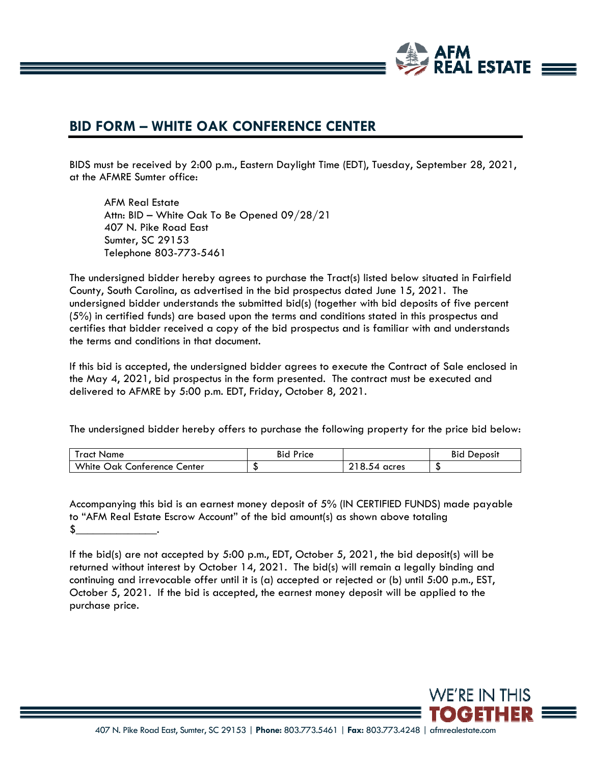

#### **BID FORM – WHITE OAK CONFERENCE CENTER**

BIDS must be received by 2:00 p.m., Eastern Daylight Time (EDT), Tuesday, September 28, 2021, at the AFMRE Sumter office:

 AFM Real Estate Attn: BID – White Oak To Be Opened 09/28/21 407 N. Pike Road East Sumter, SC 29153 Telephone 803-773-5461

The undersigned bidder hereby agrees to purchase the Tract(s) listed below situated in Fairfield County, South Carolina, as advertised in the bid prospectus dated June 15, 2021. The undersigned bidder understands the submitted bid(s) (together with bid deposits of five percent (5%) in certified funds) are based upon the terms and conditions stated in this prospectus and certifies that bidder received a copy of the bid prospectus and is familiar with and understands the terms and conditions in that document.

If this bid is accepted, the undersigned bidder agrees to execute the Contract of Sale enclosed in the May 4, 2021, bid prospectus in the form presented. The contract must be executed and delivered to AFMRE by 5:00 p.m. EDT, Friday, October 8, 2021.

The undersigned bidder hereby offers to purchase the following property for the price bid below:

| Iract Name                        | Bid<br>Price |            | <b>Bid</b><br>Deposit |
|-----------------------------------|--------------|------------|-----------------------|
| White<br>Oak<br>Conterence Center | ື            | 8.54 acres | ◡                     |

Accompanying this bid is an earnest money deposit of 5% (IN CERTIFIED FUNDS) made payable to "AFM Real Estate Escrow Account" of the bid amount(s) as shown above totaling  $\frac{1}{2}$ .

If the bid(s) are not accepted by 5:00 p.m., EDT, October 5, 2021, the bid deposit(s) will be returned without interest by October 14, 2021. The bid(s) will remain a legally binding and continuing and irrevocable offer until it is (a) accepted or rejected or (b) until 5:00 p.m., EST, October 5, 2021. If the bid is accepted, the earnest money deposit will be applied to the purchase price.